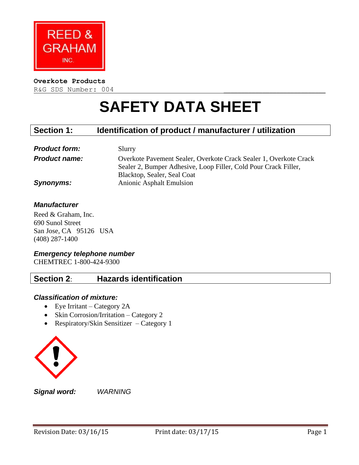

#### **Overkote Products**

R&G SDS Number: 004

# **SAFETY DATA SHEET**

# **Section 1: Identification of product / manufacturer / utilization**

| <b>Product form:</b> | Slurry                                                            |
|----------------------|-------------------------------------------------------------------|
| <b>Product name:</b> | Overkote Pavement Sealer, Overkote Crack Sealer 1, Overkote Crack |
|                      | Sealer 2, Bumper Adhesive, Loop Filler, Cold Pour Crack Filler,   |
|                      | Blacktop, Sealer, Seal Coat                                       |
| <b>Synonyms:</b>     | <b>Anionic Asphalt Emulsion</b>                                   |

## *Manufacturer*

Reed & Graham, Inc. 690 Sunol Street San Jose, CA 95126 USA (408) 287-1400

## *Emergency telephone number*

CHEMTREC 1-800-424-9300

## **Section 2**: **Hazards identification**

## *Classification of mixture:*

- Eye Irritant Category 2A
- Skin Corrosion/Irritation Category 2
- Respiratory/Skin Sensitizer Category 1



*Signal word: WARNING*

Revision Date: 03/16/15 Print date: 03/17/15 Page 1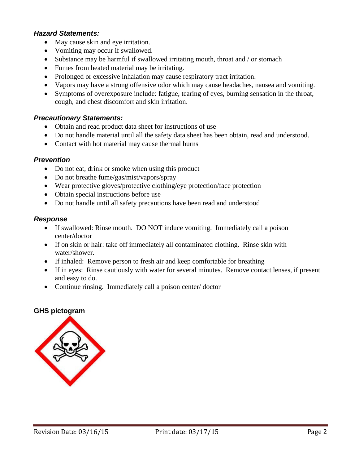#### *Hazard Statements:*

- May cause skin and eye irritation.
- Vomiting may occur if swallowed.
- Substance may be harmful if swallowed irritating mouth, throat and / or stomach
- Fumes from heated material may be irritating.
- Prolonged or excessive inhalation may cause respiratory tract irritation.
- Vapors may have a strong offensive odor which may cause headaches, nausea and vomiting.
- Symptoms of overexposure include: fatigue, tearing of eyes, burning sensation in the throat, cough, and chest discomfort and skin irritation.

#### *Precautionary Statements:*

- Obtain and read product data sheet for instructions of use
- Do not handle material until all the safety data sheet has been obtain, read and understood.
- Contact with hot material may cause thermal burns

#### *Prevention*

- Do not eat, drink or smoke when using this product
- Do not breathe fume/gas/mist/vapors/spray
- Wear protective gloves/protective clothing/eye protection/face protection
- Obtain special instructions before use
- Do not handle until all safety precautions have been read and understood

#### *Response*

- If swallowed: Rinse mouth. DO NOT induce vomiting. Immediately call a poison center/doctor
- If on skin or hair: take off immediately all contaminated clothing. Rinse skin with water/shower.
- If inhaled: Remove person to fresh air and keep comfortable for breathing
- If in eyes: Rinse cautiously with water for several minutes. Remove contact lenses, if present and easy to do.
- Continue rinsing. Immediately call a poison center/doctor

## **GHS pictogram**

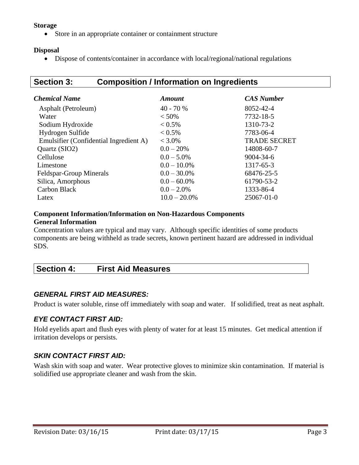## **Storage**

Store in an appropriate container or containment structure

## **Disposal**

Dispose of contents/container in accordance with local/regional/national regulations

# **Section 3: Composition / Information on Ingredients**

| Chemical Name                          | <b>Amount</b>   | <b>CAS Number</b>   |
|----------------------------------------|-----------------|---------------------|
| Asphalt (Petroleum)                    | $40 - 70%$      | 8052-42-4           |
| Water                                  | $< 50\%$        | 7732-18-5           |
| Sodium Hydroxide                       | $< 0.5\%$       | 1310-73-2           |
| Hydrogen Sulfide                       | $< 0.5\%$       | 7783-06-4           |
| Emulsifier (Confidential Ingredient A) | $< 3.0\%$       | <b>TRADE SECRET</b> |
| Quartz (SIO2)                          | $0.0 - 20%$     | 14808-60-7          |
| Cellulose                              | $0.0 - 5.0\%$   | $9004 - 34 - 6$     |
| Limestone                              | $0.0 - 10.0\%$  | 1317-65-3           |
| Feldspar-Group Minerals                | $0.0 - 30.0\%$  | 68476-25-5          |
| Silica, Amorphous                      | $0.0 - 60.0\%$  | 61790-53-2          |
| <b>Carbon Black</b>                    | $0.0 - 2.0\%$   | 1333-86-4           |
| Latex                                  | $10.0 - 20.0\%$ | 25067-01-0          |

#### **Component Information/Information on Non-Hazardous Components General Information**

Concentration values are typical and may vary. Although specific identities of some products components are being withheld as trade secrets, known pertinent hazard are addressed in individual SDS.

| <b>Section 4:</b> | <b>First Aid Measures</b> |
|-------------------|---------------------------|
|                   |                           |

## *GENERAL FIRST AID MEASURES:*

Product is water soluble, rinse off immediately with soap and water. If solidified, treat as neat asphalt.

## *EYE CONTACT FIRST AID:*

Hold eyelids apart and flush eyes with plenty of water for at least 15 minutes. Get medical attention if irritation develops or persists.

## *SKIN CONTACT FIRST AID:*

Wash skin with soap and water. Wear protective gloves to minimize skin contamination. If material is solidified use appropriate cleaner and wash from the skin.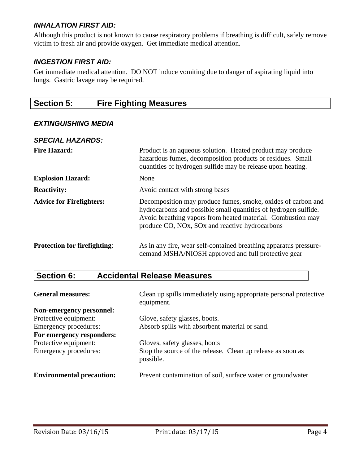## *INHALATION FIRST AID:*

Although this product is not known to cause respiratory problems if breathing is difficult, safely remove victim to fresh air and provide oxygen. Get immediate medical attention.

## *INGESTION FIRST AID:*

Get immediate medical attention. DO NOT induce vomiting due to danger of aspirating liquid into lungs. Gastric lavage may be required.

# **Section 5: Fire Fighting Measures**

## *EXTINGUISHING MEDIA*

| <b>SPECIAL HAZARDS:</b>             |                                                                                                                                                                                                                                                  |
|-------------------------------------|--------------------------------------------------------------------------------------------------------------------------------------------------------------------------------------------------------------------------------------------------|
| <b>Fire Hazard:</b>                 | Product is an aqueous solution. Heated product may produce<br>hazardous fumes, decomposition products or residues. Small<br>quantities of hydrogen sulfide may be release upon heating.                                                          |
| <b>Explosion Hazard:</b>            | None                                                                                                                                                                                                                                             |
| <b>Reactivity:</b>                  | Avoid contact with strong bases                                                                                                                                                                                                                  |
| <b>Advice for Firefighters:</b>     | Decomposition may produce fumes, smoke, oxides of carbon and<br>hydrocarbons and possible small quantities of hydrogen sulfide.<br>Avoid breathing vapors from heated material. Combustion may<br>produce CO, NOx, SOx and reactive hydrocarbons |
| <b>Protection for firefighting:</b> | As in any fire, wear self-contained breathing apparatus pressure-<br>demand MSHA/NIOSH approved and full protective gear                                                                                                                         |

# **Section 6: Accidental Release Measures**

| <b>General measures:</b>         | Clean up spills immediately using appropriate personal protective<br>equipment. |
|----------------------------------|---------------------------------------------------------------------------------|
| Non-emergency personnel:         |                                                                                 |
| Protective equipment:            | Glove, safety glasses, boots.                                                   |
| Emergency procedures:            | Absorb spills with absorbent material or sand.                                  |
| For emergency responders:        |                                                                                 |
| Protective equipment:            | Gloves, safety glasses, boots                                                   |
| Emergency procedures:            | Stop the source of the release. Clean up release as soon as<br>possible.        |
| <b>Environmental precaution:</b> | Prevent contamination of soil, surface water or groundwater                     |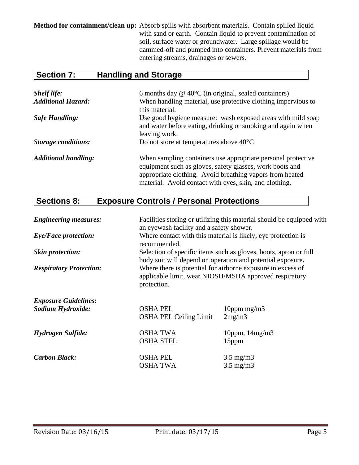**Method for containment/clean up:** Absorb spills with absorbent materials. Contain spilled liquid with sand or earth. Contain liquid to prevent contamination of soil, surface water or groundwater. Large spillage would be dammed-off and pumped into containers. Prevent materials from entering streams, drainages or sewers.

# **Section 7: Handling and Storage**

| <b>Shelf life:</b>          | 6 months day $@$ 40 $°C$ (in original, sealed containers)                                                                                                                                                                                      |
|-----------------------------|------------------------------------------------------------------------------------------------------------------------------------------------------------------------------------------------------------------------------------------------|
| <b>Additional Hazard:</b>   | When handling material, use protective clothing impervious to<br>this material.                                                                                                                                                                |
| <b>Safe Handling:</b>       | Use good hygiene measure: wash exposed areas with mild soap<br>and water before eating, drinking or smoking and again when<br>leaving work.                                                                                                    |
| <b>Storage conditions:</b>  | Do not store at temperatures above $40^{\circ}$ C                                                                                                                                                                                              |
| <b>Additional handling:</b> | When sampling containers use appropriate personal protective<br>equipment such as gloves, safety glasses, work boots and<br>appropriate clothing. Avoid breathing vapors from heated<br>material. Avoid contact with eyes, skin, and clothing. |

# **Sections 8: Exposure Controls / Personal Protections**

| <b>Engineering measures:</b>   | an eyewash facility and a safety shower.         | Facilities storing or utilizing this material should be equipped with                                                                                                               |
|--------------------------------|--------------------------------------------------|-------------------------------------------------------------------------------------------------------------------------------------------------------------------------------------|
| <b>Eye/Face protection:</b>    | recommended.                                     | Where contact with this material is likely, eye protection is                                                                                                                       |
| <b>Skin protection:</b>        |                                                  | Selection of specific items such as gloves, boots, apron or full                                                                                                                    |
| <b>Respiratory Protection:</b> | protection.                                      | body suit will depend on operation and potential exposure.<br>Where there is potential for airborne exposure in excess of<br>applicable limit, wear NIOSH/MSHA approved respiratory |
| <b>Exposure Guidelines:</b>    |                                                  |                                                                                                                                                                                     |
| Sodium Hydroxide:              | <b>OSHA PEL</b><br><b>OSHA PEL Ceiling Limit</b> | 10ppm $mg/m3$<br>2mg/m3                                                                                                                                                             |
| Hydrogen Sulfide:              | <b>OSHA TWA</b><br><b>OSHA STEL</b>              | 10ppm, $14mg/m3$<br>15 <sub>ppm</sub>                                                                                                                                               |
| <b>Carbon Black:</b>           | <b>OSHA PEL</b>                                  | $3.5 \text{ mg/m}$                                                                                                                                                                  |
|                                | <b>OSHA TWA</b>                                  | $3.5 \text{ mg/m}$                                                                                                                                                                  |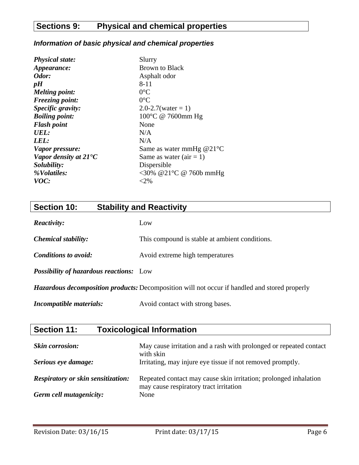# **Sections 9: Physical and chemical properties**

## *Information of basic physical and chemical properties*

| <b>Physical state:</b>         | Slurry                     |
|--------------------------------|----------------------------|
| Appearance:                    | Brown to Black             |
| Odor:                          | Asphalt odor               |
| pH                             | $8 - 11$                   |
| <b>Melting point:</b>          | $0^{\circ}$ C              |
| <b>Freezing point:</b>         | $0^{\circ}C$               |
| Specific gravity:              | $2.0 - 2.7$ (water = 1)    |
| <b>Boiling point:</b>          | 100°C @ 7600mm Hg          |
| <b>Flash point</b>             | None                       |
| UEL:                           | N/A                        |
| LEL:                           | N/A                        |
| Vapor pressure:                | Same as water mmHg $@21°C$ |
| Vapor density at $21^{\circ}C$ | Same as water $(air = 1)$  |
| Solubility:                    | Dispersible                |
| %Volatiles:                    | <30% @21°C @ 760b mmHg     |
| VOC:                           | $<$ 2%                     |

# **Section 10: Stability and Reactivity**

| <b>Section 11:</b>                             | <b>Toxicological Information</b>                                                                     |
|------------------------------------------------|------------------------------------------------------------------------------------------------------|
|                                                |                                                                                                      |
| <b>Incompatible materials:</b>                 | Avoid contact with strong bases.                                                                     |
|                                                | <b>Hazardous decomposition products:</b> Decomposition will not occur if handled and stored properly |
| <b>Possibility of hazardous reactions:</b> Low |                                                                                                      |
| <b>Conditions to avoid:</b>                    | Avoid extreme high temperatures                                                                      |
| <b>Chemical stability:</b>                     | This compound is stable at ambient conditions.                                                       |
| Reactivity:                                    | Low                                                                                                  |

| <b>Skin corrosion:</b><br>Serious eye damage: | May cause irritation and a rash with prolonged or repeated contact<br>with skin<br>Irritating, may injure eye tissue if not removed promptly. |
|-----------------------------------------------|-----------------------------------------------------------------------------------------------------------------------------------------------|
| <b>Respiratory or skin sensitization:</b>     | Repeated contact may cause skin irritation; prolonged inhalation<br>may cause respiratory tract irritation                                    |
| Germ cell mutagenicity:                       | None                                                                                                                                          |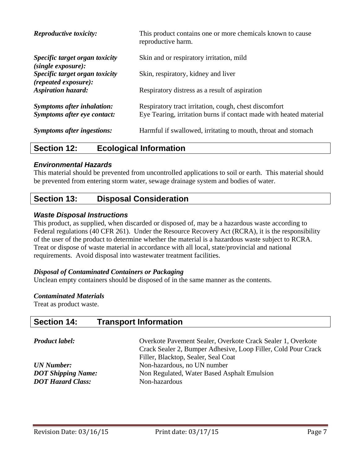| <b>Reproductive toxicity:</b>                                    | This product contains one or more chemicals known to cause<br>reproductive harm.                                            |
|------------------------------------------------------------------|-----------------------------------------------------------------------------------------------------------------------------|
| Specific target organ toxicity<br>(single exposure):             | Skin and or respiratory irritation, mild                                                                                    |
| Specific target organ toxicity<br>$(repeated\ exposure)$ :       | Skin, respiratory, kidney and liver                                                                                         |
| <b>Aspiration hazard:</b>                                        | Respiratory distress as a result of aspiration                                                                              |
| <b>Symptoms after inhalation:</b><br>Symptoms after eye contact: | Respiratory tract irritation, cough, chest discomfort<br>Eye Tearing, irritation burns if contact made with heated material |
| <b>Symptoms after ingestions:</b>                                | Harmful if swallowed, irritating to mouth, throat and stomach                                                               |

## **Section 12: Ecological Information**

## *Environmental Hazards*

This material should be prevented from uncontrolled applications to soil or earth. This material should be prevented from entering storm water, sewage drainage system and bodies of water.

## **Section 13: Disposal Consideration**

## *Waste Disposal Instructions*

This product, as supplied, when discarded or disposed of, may be a hazardous waste according to Federal regulations (40 CFR 261). Under the Resource Recovery Act (RCRA), it is the responsibility of the user of the product to determine whether the material is a hazardous waste subject to RCRA. Treat or dispose of waste material in accordance with all local, state/provincial and national requirements. Avoid disposal into wastewater treatment facilities.

## *Disposal of Contaminated Containers or Packaging*

Unclean empty containers should be disposed of in the same manner as the contents.

#### *Contaminated Materials*

Treat as product waste.

## **Section 14: Transport Information**

| <b>Product label:</b>     | Overkote Pavement Sealer, Overkote Crack Sealer 1, Overkote<br>Crack Sealer 2, Bumper Adhesive, Loop Filler, Cold Pour Crack<br>Filler, Blacktop, Sealer, Seal Coat |
|---------------------------|---------------------------------------------------------------------------------------------------------------------------------------------------------------------|
| UN Number:                | Non-hazardous, no UN number                                                                                                                                         |
| <b>DOT Shipping Name:</b> | Non Regulated, Water Based Asphalt Emulsion                                                                                                                         |
| <b>DOT Hazard Class:</b>  | Non-hazardous                                                                                                                                                       |